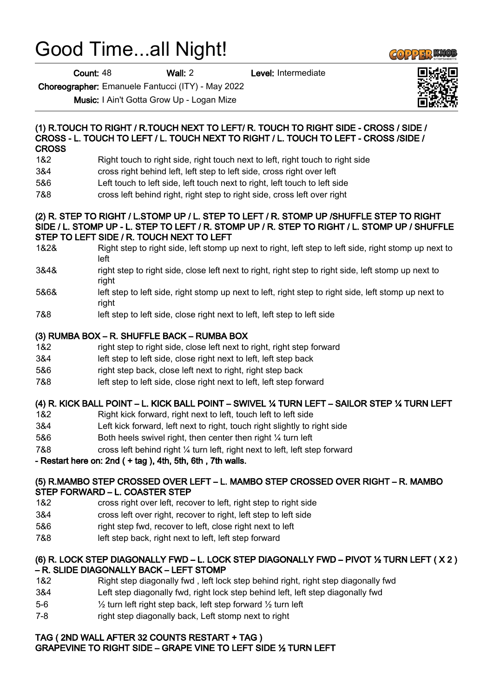# Good Time...all Night!

Count: 48 Wall: 2 Level: Intermediate

Choreographer: Emanuele Fantucci (ITY) - May 2022

Music: I Ain't Gotta Grow Up - Logan Mize

#### (1) R.TOUCH TO RIGHT / R.TOUCH NEXT TO LEFT/ R. TOUCH TO RIGHT SIDE - CROSS / SIDE / CROSS - L. TOUCH TO LEFT / L. TOUCH NEXT TO RIGHT / L. TOUCH TO LEFT - CROSS /SIDE / **CROSS**

- 1&2 Right touch to right side, right touch next to left, right touch to right side
- 3&4 cross right behind left, left step to left side, cross right over left
- 5&6 Left touch to left side, left touch next to right, left touch to left side
- 7&8 cross left behind right, right step to right side, cross left over right

#### (2) R. STEP TO RIGHT / L.STOMP UP / L. STEP TO LEFT / R. STOMP UP /SHUFFLE STEP TO RIGHT SIDE / L. STOMP UP - L. STEP TO LEFT / R. STOMP UP / R. STEP TO RIGHT / L. STOMP UP / SHUFFLE STEP TO LEFT SIDE / R. TOUCH NEXT TO LEFT

- 1&2& Right step to right side, left stomp up next to right, left step to left side, right stomp up next to left
- 3&4& right step to right side, close left next to right, right step to right side, left stomp up next to right
- 5&6& left step to left side, right stomp up next to left, right step to right side, left stomp up next to right
- 7&8 left step to left side, close right next to left, left step to left side

#### (3) RUMBA BOX – R. SHUFFLE BACK – RUMBA BOX

- 1&2 right step to right side, close left next to right, right step forward
- 3&4 left step to left side, close right next to left, left step back
- 5&6 right step back, close left next to right, right step back
- 7&8 left step to left side, close right next to left, left step forward

# (4) R. KICK BALL POINT – L. KICK BALL POINT – SWIVEL ¼ TURN LEFT – SAILOR STEP ¼ TURN LEFT

- 1&2 Right kick forward, right next to left, touch left to left side
- 3&4 Left kick forward, left next to right, touch right slightly to right side
- 5&6 Both heels swivel right, then center then right ¼ turn left
- 7&8 cross left behind right ¼ turn left, right next to left, left step forward

# - Restart here on: 2nd  $( + tag)$ , 4th, 5th, 6th, 7th walls.

#### (5) R.MAMBO STEP CROSSED OVER LEFT – L. MAMBO STEP CROSSED OVER RIGHT – R. MAMBO STEP FORWARD – L. COASTER STEP

- 1&2 cross right over left, recover to left, right step to right side
- 3&4 cross left over right, recover to right, left step to left side
- 5&6 right step fwd, recover to left, close right next to left
- 7&8 left step back, right next to left, left step forward

#### (6) R. LOCK STEP DIAGONALLY FWD – L. LOCK STEP DIAGONALLY FWD – PIVOT ½ TURN LEFT ( X 2 ) – R. SLIDE DIAGONALLY BACK – LEFT STOMP

- 1&2 Right step diagonally fwd , left lock step behind right, right step diagonally fwd
- 3&4 Left step diagonally fwd, right lock step behind left, left step diagonally fwd
- 5-6 ½ turn left right step back, left step forward ½ turn left
- 7-8 right step diagonally back, Left stomp next to right

# TAG ( 2ND WALL AFTER 32 COUNTS RESTART + TAG )

# GRAPEVINE TO RIGHT SIDE – GRAPE VINE TO LEFT SIDE ½ TURN LEFT